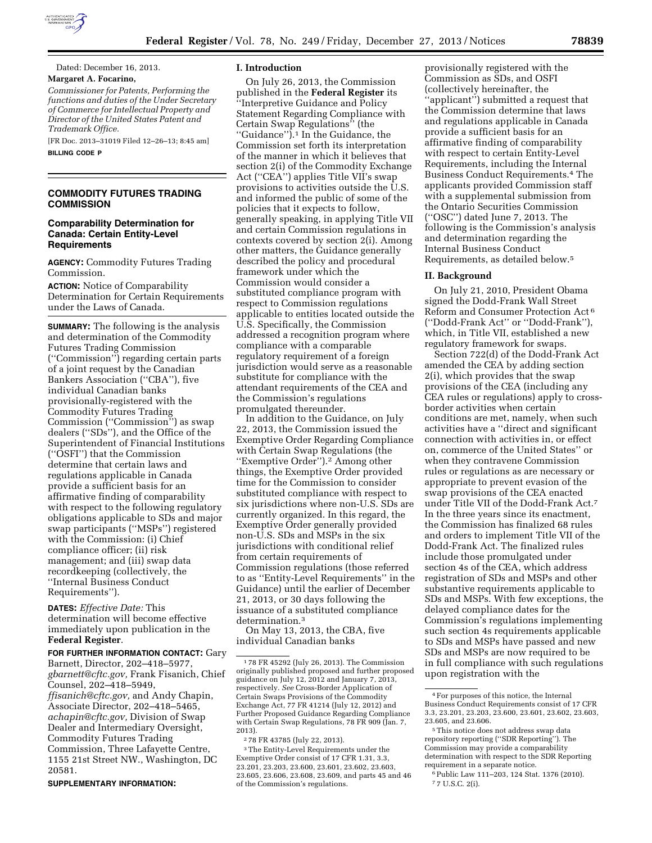

Dated: December 16, 2013.

## **Margaret A. Focarino,**

*Commissioner for Patents, Performing the functions and duties of the Under Secretary of Commerce for Intellectual Property and Director of the United States Patent and Trademark Office.* 

[FR Doc. 2013–31019 Filed 12–26–13; 8:45 am] **BILLING CODE P** 

# **COMMODITY FUTURES TRADING COMMISSION**

## **Comparability Determination for Canada: Certain Entity-Level Requirements**

**AGENCY:** Commodity Futures Trading Commission.

**ACTION:** Notice of Comparability Determination for Certain Requirements under the Laws of Canada.

**SUMMARY:** The following is the analysis and determination of the Commodity Futures Trading Commission (''Commission'') regarding certain parts of a joint request by the Canadian Bankers Association (''CBA''), five individual Canadian banks provisionally-registered with the Commodity Futures Trading Commission (''Commission'') as swap dealers (''SDs''), and the Office of the Superintendent of Financial Institutions (''OSFI'') that the Commission determine that certain laws and regulations applicable in Canada provide a sufficient basis for an affirmative finding of comparability with respect to the following regulatory obligations applicable to SDs and major swap participants (''MSPs'') registered with the Commission: (i) Chief compliance officer; (ii) risk management; and (iii) swap data recordkeeping (collectively, the ''Internal Business Conduct Requirements'').

**DATES:** *Effective Date:* This determination will become effective immediately upon publication in the **Federal Register**.

# **FOR FURTHER INFORMATION CONTACT:** Gary

Barnett, Director, 202–418–5977, *[gbarnett@cftc.gov,](mailto:gbarnett@cftc.gov)* Frank Fisanich, Chief Counsel, 202–418–5949, *[ffisanich@cftc.gov,](mailto:ffisanich@cftc.gov)* and Andy Chapin, Associate Director, 202–418–5465, *[achapin@cftc.gov,](mailto:achapin@cftc.gov)* Division of Swap Dealer and Intermediary Oversight, Commodity Futures Trading Commission, Three Lafayette Centre, 1155 21st Street NW., Washington, DC 20581.

**SUPPLEMENTARY INFORMATION:** 

### **I. Introduction**

On July 26, 2013, the Commission published in the **Federal Register** its ''Interpretive Guidance and Policy Statement Regarding Compliance with Certain Swap Regulations'' (the ''Guidance'').1 In the Guidance, the Commission set forth its interpretation of the manner in which it believes that section 2(i) of the Commodity Exchange Act (''CEA'') applies Title VII's swap provisions to activities outside the U.S. and informed the public of some of the policies that it expects to follow, generally speaking, in applying Title VII and certain Commission regulations in contexts covered by section 2(i). Among other matters, the Guidance generally described the policy and procedural framework under which the Commission would consider a substituted compliance program with respect to Commission regulations applicable to entities located outside the U.S. Specifically, the Commission addressed a recognition program where compliance with a comparable regulatory requirement of a foreign jurisdiction would serve as a reasonable substitute for compliance with the attendant requirements of the CEA and the Commission's regulations promulgated thereunder.

In addition to the Guidance, on July 22, 2013, the Commission issued the Exemptive Order Regarding Compliance with Certain Swap Regulations (the ''Exemptive Order'').2 Among other things, the Exemptive Order provided time for the Commission to consider substituted compliance with respect to six jurisdictions where non-U.S. SDs are currently organized. In this regard, the Exemptive Order generally provided non-U.S. SDs and MSPs in the six jurisdictions with conditional relief from certain requirements of Commission regulations (those referred to as ''Entity-Level Requirements'' in the Guidance) until the earlier of December 21, 2013, or 30 days following the issuance of a substituted compliance determination.3

On May 13, 2013, the CBA, five individual Canadian banks

2 78 FR 43785 (July 22, 2013).

3The Entity-Level Requirements under the Exemptive Order consist of 17 CFR 1.31, 3.3, 23.201, 23.203, 23.600, 23.601, 23.602, 23.603, 23.605, 23.606, 23.608, 23.609, and parts 45 and 46 of the Commission's regulations.

provisionally registered with the Commission as SDs, and OSFI (collectively hereinafter, the ''applicant'') submitted a request that the Commission determine that laws and regulations applicable in Canada provide a sufficient basis for an affirmative finding of comparability with respect to certain Entity-Level Requirements, including the Internal Business Conduct Requirements.4 The applicants provided Commission staff with a supplemental submission from the Ontario Securities Commission (''OSC'') dated June 7, 2013. The following is the Commission's analysis and determination regarding the Internal Business Conduct Requirements, as detailed below.5

### **II. Background**

On July 21, 2010, President Obama signed the Dodd-Frank Wall Street Reform and Consumer Protection Act 6 (''Dodd-Frank Act'' or ''Dodd-Frank''), which, in Title VII, established a new regulatory framework for swaps.

Section 722(d) of the Dodd-Frank Act amended the CEA by adding section 2(i), which provides that the swap provisions of the CEA (including any CEA rules or regulations) apply to crossborder activities when certain conditions are met, namely, when such activities have a ''direct and significant connection with activities in, or effect on, commerce of the United States'' or when they contravene Commission rules or regulations as are necessary or appropriate to prevent evasion of the swap provisions of the CEA enacted under Title VII of the Dodd-Frank Act.7 In the three years since its enactment, the Commission has finalized 68 rules and orders to implement Title VII of the Dodd-Frank Act. The finalized rules include those promulgated under section 4s of the CEA, which address registration of SDs and MSPs and other substantive requirements applicable to SDs and MSPs. With few exceptions, the delayed compliance dates for the Commission's regulations implementing such section 4s requirements applicable to SDs and MSPs have passed and new SDs and MSPs are now required to be in full compliance with such regulations upon registration with the

<sup>1</sup> 78 FR 45292 (July 26, 2013). The Commission originally published proposed and further proposed guidance on July 12, 2012 and January 7, 2013, respectively. *See* Cross-Border Application of Certain Swaps Provisions of the Commodity Exchange Act, 77 FR 41214 (July 12, 2012) and Further Proposed Guidance Regarding Compliance with Certain Swap Regulations, 78 FR 909 (Jan. 7, 2013).

<sup>4</sup>For purposes of this notice, the Internal Business Conduct Requirements consist of 17 CFR 3.3, 23.201, 23.203, 23.600, 23.601, 23.602, 23.603, 23.605, and 23.606.

<sup>5</sup>This notice does not address swap data repository reporting (''SDR Reporting''). The Commission may provide a comparability determination with respect to the SDR Reporting requirement in a separate notice.

<sup>6</sup>Public Law 111–203, 124 Stat. 1376 (2010). 7 7 U.S.C. 2(i).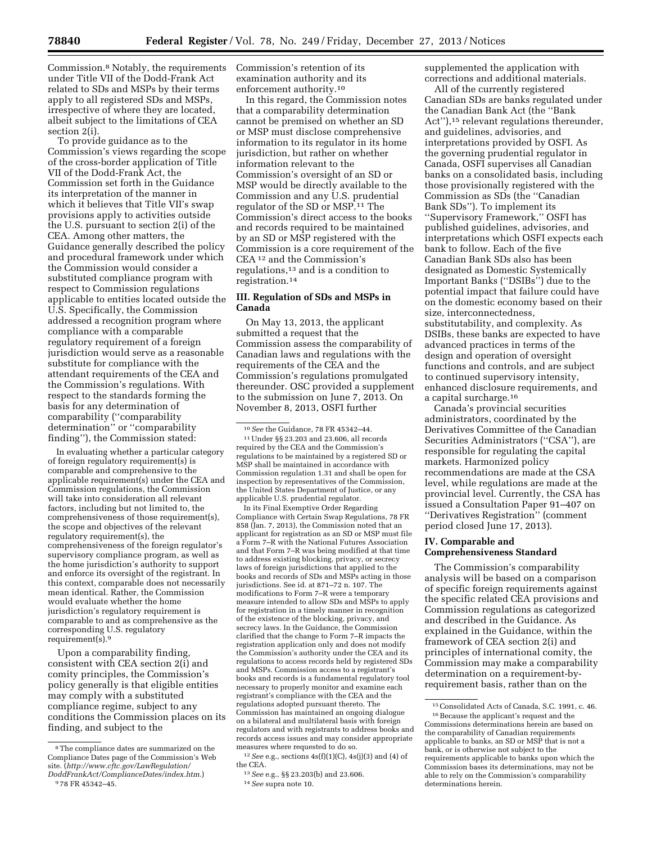Commission.8 Notably, the requirements under Title VII of the Dodd-Frank Act related to SDs and MSPs by their terms apply to all registered SDs and MSPs, irrespective of where they are located, albeit subject to the limitations of CEA

section 2(i). To provide guidance as to the Commission's views regarding the scope of the cross-border application of Title VII of the Dodd-Frank Act, the Commission set forth in the Guidance its interpretation of the manner in which it believes that Title VII's swap provisions apply to activities outside the U.S. pursuant to section 2(i) of the CEA. Among other matters, the Guidance generally described the policy and procedural framework under which the Commission would consider a substituted compliance program with respect to Commission regulations applicable to entities located outside the U.S. Specifically, the Commission addressed a recognition program where compliance with a comparable regulatory requirement of a foreign jurisdiction would serve as a reasonable substitute for compliance with the attendant requirements of the CEA and the Commission's regulations. With respect to the standards forming the basis for any determination of comparability (''comparability determination'' or ''comparability finding''), the Commission stated:

In evaluating whether a particular category of foreign regulatory requirement(s) is comparable and comprehensive to the applicable requirement(s) under the CEA and Commission regulations, the Commission will take into consideration all relevant factors, including but not limited to, the comprehensiveness of those requirement(s), the scope and objectives of the relevant regulatory requirement(s), the comprehensiveness of the foreign regulator's supervisory compliance program, as well as the home jurisdiction's authority to support and enforce its oversight of the registrant. In this context, comparable does not necessarily mean identical. Rather, the Commission would evaluate whether the home jurisdiction's regulatory requirement is comparable to and as comprehensive as the corresponding U.S. regulatory requirement(s).9

Upon a comparability finding, consistent with CEA section 2(i) and comity principles, the Commission's policy generally is that eligible entities may comply with a substituted compliance regime, subject to any conditions the Commission places on its finding, and subject to the

Commission's retention of its examination authority and its enforcement authority.10

In this regard, the Commission notes that a comparability determination cannot be premised on whether an SD or MSP must disclose comprehensive information to its regulator in its home jurisdiction, but rather on whether information relevant to the Commission's oversight of an SD or MSP would be directly available to the Commission and any U.S. prudential regulator of the SD or MSP.11 The Commission's direct access to the books and records required to be maintained by an SD or MSP registered with the Commission is a core requirement of the CEA 12 and the Commission's regulations,13 and is a condition to registration.14

# **III. Regulation of SDs and MSPs in Canada**

On May 13, 2013, the applicant submitted a request that the Commission assess the comparability of Canadian laws and regulations with the requirements of the CEA and the Commission's regulations promulgated thereunder. OSC provided a supplement to the submission on June 7, 2013. On November 8, 2013, OSFI further

In its Final Exemptive Order Regarding Compliance with Certain Swap Regulations, 78 FR 858 (Jan. 7, 2013), the Commission noted that an applicant for registration as an SD or MSP must file a Form 7–R with the National Futures Association and that Form 7–R was being modified at that time to address existing blocking, privacy, or secrecy laws of foreign jurisdictions that applied to the books and records of SDs and MSPs acting in those jurisdictions. See id. at 871–72 n. 107. The modifications to Form 7–R were a temporary measure intended to allow SDs and MSPs to apply for registration in a timely manner in recognition of the existence of the blocking, privacy, and secrecy laws. In the Guidance, the Commission clarified that the change to Form 7–R impacts the registration application only and does not modify the Commission's authority under the CEA and its regulations to access records held by registered SDs and MSPs. Commission access to a registrant's books and records is a fundamental regulatory tool necessary to properly monitor and examine each registrant's compliance with the CEA and the regulations adopted pursuant thereto. The Commission has maintained an ongoing dialogue on a bilateral and multilateral basis with foreign regulators and with registrants to address books and records access issues and may consider appropriate measures where requested to do so.

supplemented the application with corrections and additional materials.

All of the currently registered Canadian SDs are banks regulated under the Canadian Bank Act (the ''Bank Act"),<sup>15</sup> relevant regulations thereunder, and guidelines, advisories, and interpretations provided by OSFI. As the governing prudential regulator in Canada, OSFI supervises all Canadian banks on a consolidated basis, including those provisionally registered with the Commission as SDs (the ''Canadian Bank SDs''). To implement its ''Supervisory Framework,'' OSFI has published guidelines, advisories, and interpretations which OSFI expects each bank to follow. Each of the five Canadian Bank SDs also has been designated as Domestic Systemically Important Banks (''DSIBs'') due to the potential impact that failure could have on the domestic economy based on their size, interconnectedness, substitutability, and complexity. As DSIBs, these banks are expected to have advanced practices in terms of the design and operation of oversight functions and controls, and are subject to continued supervisory intensity, enhanced disclosure requirements, and a capital surcharge.16

Canada's provincial securities administrators, coordinated by the Derivatives Committee of the Canadian Securities Administrators (''CSA''), are responsible for regulating the capital markets. Harmonized policy recommendations are made at the CSA level, while regulations are made at the provincial level. Currently, the CSA has issued a Consultation Paper 91–407 on ''Derivatives Registration'' (comment period closed June 17, 2013).

## **IV. Comparable and Comprehensiveness Standard**

The Commission's comparability analysis will be based on a comparison of specific foreign requirements against the specific related CEA provisions and Commission regulations as categorized and described in the Guidance. As explained in the Guidance, within the framework of CEA section 2(i) and principles of international comity, the Commission may make a comparability determination on a requirement-byrequirement basis, rather than on the

<sup>8</sup>The compliance dates are summarized on the Compliance Dates page of the Commission's Web site. (*[http://www.cftc.gov/LawRegulation/](http://www.cftc.gov/LawRegulation/DoddFrankAct/ComplianceDates/index.htm)  [DoddFrankAct/ComplianceDates/index.htm.](http://www.cftc.gov/LawRegulation/DoddFrankAct/ComplianceDates/index.htm)*) 9 78 FR 45342–45.

<sup>10</sup>*See* the Guidance, 78 FR 45342–44. 11Under §§ 23.203 and 23.606, all records required by the CEA and the Commission's regulations to be maintained by a registered SD or MSP shall be maintained in accordance with Commission regulation 1.31 and shall be open for inspection by representatives of the Commission, the United States Department of Justice, or any applicable U.S. prudential regulator.

 $^{12} \, See \, e.g., \, sections \, 4s(f)(1)(C), \, 4s(j)(3) \, and \, (4) \, of$ the CEA.

<sup>13</sup>*See* e.g., §§ 23.203(b) and 23.606.

<sup>14</sup>*See* supra note 10.

<sup>15</sup>Consolidated Acts of Canada, S.C. 1991, c. 46.

<sup>16</sup>Because the applicant's request and the Commissions determinations herein are based on the comparability of Canadian requirements applicable to banks, an SD or MSP that is not a bank, or is otherwise not subject to the requirements applicable to banks upon which the Commission bases its determinations, may not be able to rely on the Commission's comparability determinations herein.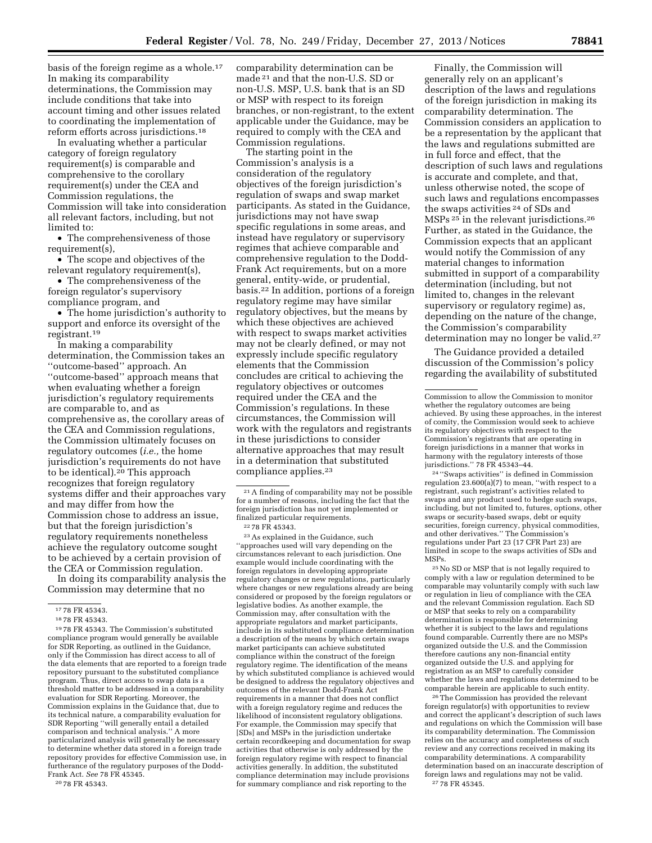basis of the foreign regime as a whole.<sup>17</sup> In making its comparability determinations, the Commission may include conditions that take into account timing and other issues related to coordinating the implementation of reform efforts across jurisdictions.18

In evaluating whether a particular category of foreign regulatory requirement(s) is comparable and comprehensive to the corollary requirement(s) under the CEA and Commission regulations, the Commission will take into consideration all relevant factors, including, but not limited to:

• The comprehensiveness of those requirement(s),

• The scope and objectives of the relevant regulatory requirement(s),

• The comprehensiveness of the foreign regulator's supervisory compliance program, and

• The home jurisdiction's authority to support and enforce its oversight of the registrant.19

In making a comparability determination, the Commission takes an ''outcome-based'' approach. An ''outcome-based'' approach means that when evaluating whether a foreign jurisdiction's regulatory requirements are comparable to, and as comprehensive as, the corollary areas of the CEA and Commission regulations, the Commission ultimately focuses on regulatory outcomes (*i.e.,* the home jurisdiction's requirements do not have to be identical).<sup>20</sup> This approach recognizes that foreign regulatory systems differ and their approaches vary and may differ from how the Commission chose to address an issue, but that the foreign jurisdiction's regulatory requirements nonetheless achieve the regulatory outcome sought to be achieved by a certain provision of the CEA or Commission regulation.

In doing its comparability analysis the Commission may determine that no

19 78 FR 45343. The Commission's substituted compliance program would generally be available for SDR Reporting, as outlined in the Guidance, only if the Commission has direct access to all of the data elements that are reported to a foreign trade repository pursuant to the substituted compliance program. Thus, direct access to swap data is a threshold matter to be addressed in a comparability evaluation for SDR Reporting. Moreover, the Commission explains in the Guidance that, due to its technical nature, a comparability evaluation for SDR Reporting ''will generally entail a detailed comparison and technical analysis.'' A more particularized analysis will generally be necessary to determine whether data stored in a foreign trade repository provides for effective Commission use, in furtherance of the regulatory purposes of the Dodd-Frank Act. *See* 78 FR 45345.

20 78 FR 45343.

comparability determination can be made 21 and that the non-U.S. SD or non-U.S. MSP, U.S. bank that is an SD or MSP with respect to its foreign branches, or non-registrant, to the extent applicable under the Guidance, may be required to comply with the CEA and Commission regulations.

The starting point in the Commission's analysis is a consideration of the regulatory objectives of the foreign jurisdiction's regulation of swaps and swap market participants. As stated in the Guidance, jurisdictions may not have swap specific regulations in some areas, and instead have regulatory or supervisory regimes that achieve comparable and comprehensive regulation to the Dodd-Frank Act requirements, but on a more general, entity-wide, or prudential, basis.22 In addition, portions of a foreign regulatory regime may have similar regulatory objectives, but the means by which these objectives are achieved with respect to swaps market activities may not be clearly defined, or may not expressly include specific regulatory elements that the Commission concludes are critical to achieving the regulatory objectives or outcomes required under the CEA and the Commission's regulations. In these circumstances, the Commission will work with the regulators and registrants in these jurisdictions to consider alternative approaches that may result in a determination that substituted compliance applies.23

23As explained in the Guidance, such ''approaches used will vary depending on the circumstances relevant to each jurisdiction. One example would include coordinating with the foreign regulators in developing appropriate regulatory changes or new regulations, particularly where changes or new regulations already are being considered or proposed by the foreign regulators or legislative bodies. As another example, the Commission may, after consultation with the appropriate regulators and market participants, include in its substituted compliance determination a description of the means by which certain swaps market participants can achieve substituted compliance within the construct of the foreign regulatory regime. The identification of the means by which substituted compliance is achieved would be designed to address the regulatory objectives and outcomes of the relevant Dodd-Frank Act requirements in a manner that does not conflict with a foreign regulatory regime and reduces the likelihood of inconsistent regulatory obligations. For example, the Commission may specify that [SDs] and MSPs in the jurisdiction undertake certain recordkeeping and documentation for swap activities that otherwise is only addressed by the foreign regulatory regime with respect to financial activities generally. In addition, the substituted compliance determination may include provisions for summary compliance and risk reporting to the

Finally, the Commission will generally rely on an applicant's description of the laws and regulations of the foreign jurisdiction in making its comparability determination. The Commission considers an application to be a representation by the applicant that the laws and regulations submitted are in full force and effect, that the description of such laws and regulations is accurate and complete, and that, unless otherwise noted, the scope of such laws and regulations encompasses the swaps activities 24 of SDs and MSPs 25 in the relevant jurisdictions.26 Further, as stated in the Guidance, the Commission expects that an applicant would notify the Commission of any material changes to information submitted in support of a comparability determination (including, but not limited to, changes in the relevant supervisory or regulatory regime) as, depending on the nature of the change, the Commission's comparability determination may no longer be valid.27

The Guidance provided a detailed discussion of the Commission's policy regarding the availability of substituted

24 ''Swaps activities'' is defined in Commission regulation 23.600(a)(7) to mean, ''with respect to a registrant, such registrant's activities related to swaps and any product used to hedge such swaps including, but not limited to, futures, options, other swaps or security-based swaps, debt or equity securities, foreign currency, physical commodities, and other derivatives.'' The Commission's regulations under Part 23 (17 CFR Part 23) are limited in scope to the swaps activities of SDs and MSPs.

25No SD or MSP that is not legally required to comply with a law or regulation determined to be comparable may voluntarily comply with such law or regulation in lieu of compliance with the CEA and the relevant Commission regulation. Each SD or MSP that seeks to rely on a comparability determination is responsible for determining whether it is subject to the laws and regulations found comparable. Currently there are no MSPs organized outside the U.S. and the Commission therefore cautions any non-financial entity organized outside the U.S. and applying for registration as an MSP to carefully consider whether the laws and regulations determined to be comparable herein are applicable to such entity.

26The Commission has provided the relevant foreign regulator(s) with opportunities to review and correct the applicant's description of such laws and regulations on which the Commission will base its comparability determination. The Commission relies on the accuracy and completeness of such review and any corrections received in making its comparability determinations. A comparability determination based on an inaccurate description of foreign laws and regulations may not be valid. 27 78 FR 45345.

<sup>17</sup> 78 FR 45343.

<sup>18</sup> 78 FR 45343.

<sup>21</sup>A finding of comparability may not be possible for a number of reasons, including the fact that the foreign jurisdiction has not yet implemented or finalized particular requirements.

<sup>22</sup> 78 FR 45343.

Commission to allow the Commission to monitor whether the regulatory outcomes are being achieved. By using these approaches, in the interest of comity, the Commission would seek to achieve its regulatory objectives with respect to the Commission's registrants that are operating in foreign jurisdictions in a manner that works in harmony with the regulatory interests of those jurisdictions.'' 78 FR 45343–44.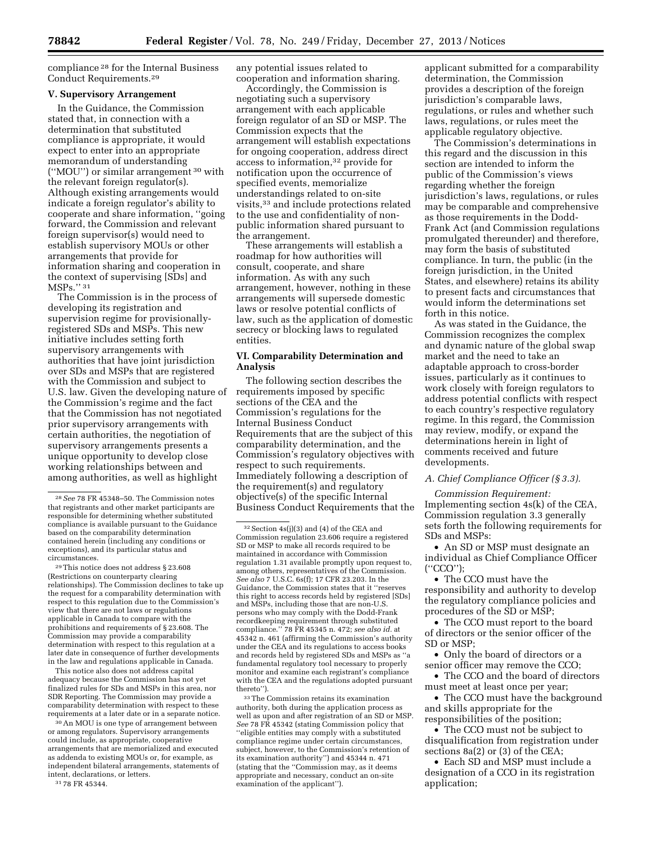compliance 28 for the Internal Business Conduct Requirements.29

### **V. Supervisory Arrangement**

In the Guidance, the Commission stated that, in connection with a determination that substituted compliance is appropriate, it would expect to enter into an appropriate memorandum of understanding (''MOU'') or similar arrangement 30 with the relevant foreign regulator(s). Although existing arrangements would indicate a foreign regulator's ability to cooperate and share information, ''going forward, the Commission and relevant foreign supervisor(s) would need to establish supervisory MOUs or other arrangements that provide for information sharing and cooperation in the context of supervising [SDs] and MSPs.'' 31

The Commission is in the process of developing its registration and supervision regime for provisionallyregistered SDs and MSPs. This new initiative includes setting forth supervisory arrangements with authorities that have joint jurisdiction over SDs and MSPs that are registered with the Commission and subject to U.S. law. Given the developing nature of the Commission's regime and the fact that the Commission has not negotiated prior supervisory arrangements with certain authorities, the negotiation of supervisory arrangements presents a unique opportunity to develop close working relationships between and among authorities, as well as highlight

29This notice does not address § 23.608 (Restrictions on counterparty clearing relationships). The Commission declines to take up the request for a comparability determination with respect to this regulation due to the Commission's view that there are not laws or regulations applicable in Canada to compare with the prohibitions and requirements of § 23.608. The Commission may provide a comparability determination with respect to this regulation at a later date in consequence of further developments in the law and regulations applicable in Canada.

This notice also does not address capital adequacy because the Commission has not yet finalized rules for SDs and MSPs in this area, nor SDR Reporting. The Commission may provide a comparability determination with respect to these requirements at a later date or in a separate notice.

30An MOU is one type of arrangement between or among regulators. Supervisory arrangements could include, as appropriate, cooperative arrangements that are memorialized and executed as addenda to existing MOUs or, for example, as independent bilateral arrangements, statements of intent, declarations, or letters.

31 78 FR 45344.

any potential issues related to cooperation and information sharing.

Accordingly, the Commission is negotiating such a supervisory arrangement with each applicable foreign regulator of an SD or MSP. The Commission expects that the arrangement will establish expectations for ongoing cooperation, address direct access to information,32 provide for notification upon the occurrence of specified events, memorialize understandings related to on-site visits,33 and include protections related to the use and confidentiality of nonpublic information shared pursuant to the arrangement.

These arrangements will establish a roadmap for how authorities will consult, cooperate, and share information. As with any such arrangement, however, nothing in these arrangements will supersede domestic laws or resolve potential conflicts of law, such as the application of domestic secrecy or blocking laws to regulated entities.

# **VI. Comparability Determination and Analysis**

The following section describes the requirements imposed by specific sections of the CEA and the Commission's regulations for the Internal Business Conduct Requirements that are the subject of this comparability determination, and the Commission's regulatory objectives with respect to such requirements. Immediately following a description of the requirement(s) and regulatory objective(s) of the specific Internal Business Conduct Requirements that the

33The Commission retains its examination authority, both during the application process as well as upon and after registration of an SD or MSP. *See* 78 FR 45342 (stating Commission policy that ''eligible entities may comply with a substituted compliance regime under certain circumstances, subject, however, to the Commission's retention of its examination authority'') and 45344 n. 471 (stating that the ''Commission may, as it deems appropriate and necessary, conduct an on-site examination of the applicant'').

applicant submitted for a comparability determination, the Commission provides a description of the foreign jurisdiction's comparable laws, regulations, or rules and whether such laws, regulations, or rules meet the applicable regulatory objective.

The Commission's determinations in this regard and the discussion in this section are intended to inform the public of the Commission's views regarding whether the foreign jurisdiction's laws, regulations, or rules may be comparable and comprehensive as those requirements in the Dodd-Frank Act (and Commission regulations promulgated thereunder) and therefore, may form the basis of substituted compliance. In turn, the public (in the foreign jurisdiction, in the United States, and elsewhere) retains its ability to present facts and circumstances that would inform the determinations set forth in this notice.

As was stated in the Guidance, the Commission recognizes the complex and dynamic nature of the global swap market and the need to take an adaptable approach to cross-border issues, particularly as it continues to work closely with foreign regulators to address potential conflicts with respect to each country's respective regulatory regime. In this regard, the Commission may review, modify, or expand the determinations herein in light of comments received and future developments.

## *A. Chief Compliance Officer (§ 3.3).*

*Commission Requirement:*  Implementing section 4s(k) of the CEA, Commission regulation 3.3 generally sets forth the following requirements for SDs and MSPs:

• An SD or MSP must designate an individual as Chief Compliance Officer (''CCO'');

• The CCO must have the responsibility and authority to develop the regulatory compliance policies and procedures of the SD or MSP;

• The CCO must report to the board of directors or the senior officer of the SD or MSP;

• Only the board of directors or a senior officer may remove the CCO;

• The CCO and the board of directors must meet at least once per year;

• The CCO must have the background and skills appropriate for the responsibilities of the position;

• The CCO must not be subject to disqualification from registration under sections 8a(2) or (3) of the CEA;

• Each SD and MSP must include a designation of a CCO in its registration application;

<sup>28</sup>*See* 78 FR 45348–50. The Commission notes that registrants and other market participants are responsible for determining whether substituted compliance is available pursuant to the Guidance based on the comparability determination contained herein (including any conditions or exceptions), and its particular status and circumstances.

<sup>32</sup>Section 4s(j)(3) and (4) of the CEA and Commission regulation 23.606 require a registered SD or MSP to make all records required to be maintained in accordance with Commission regulation 1.31 available promptly upon request to, among others, representatives of the Commission. *See also* 7 U.S.C. 6s(f); 17 CFR 23.203. In the Guidance, the Commission states that it ''reserves this right to access records held by registered [SDs] and MSPs, including those that are non-U.S. persons who may comply with the Dodd-Frank recordkeeping requirement through substituted compliance.'' 78 FR 45345 n. 472; *see also id.* at 45342 n. 461 (affirming the Commission's authority under the CEA and its regulations to access books and records held by registered SDs and MSPs as ''a fundamental regulatory tool necessary to properly monitor and examine each registrant's compliance with the CEA and the regulations adopted pursuant thereto'').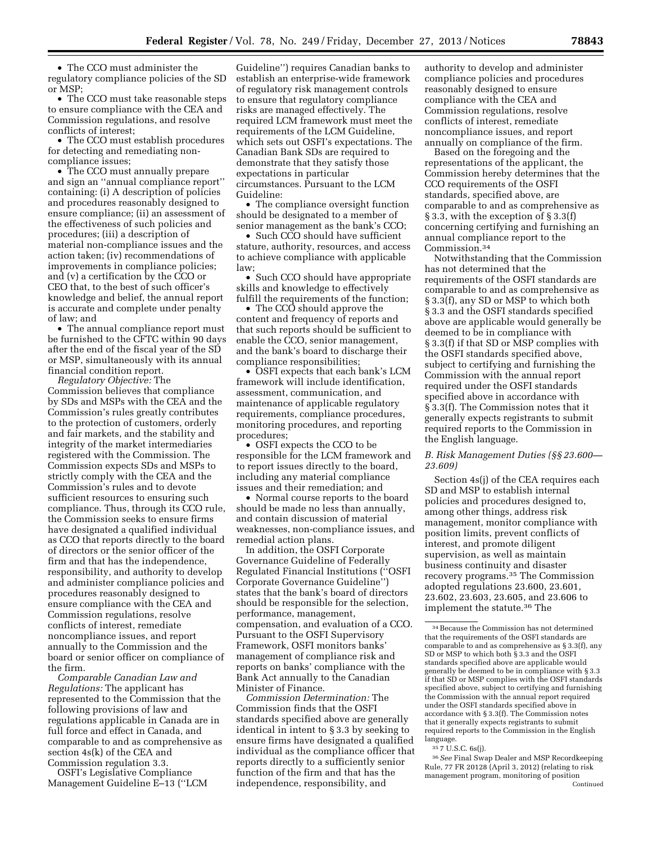• The CCO must administer the regulatory compliance policies of the SD or MSP;

• The CCO must take reasonable steps to ensure compliance with the CEA and Commission regulations, and resolve conflicts of interest;

• The CCO must establish procedures for detecting and remediating noncompliance issues;

• The CCO must annually prepare and sign an ''annual compliance report'' containing: (i) A description of policies and procedures reasonably designed to ensure compliance; (ii) an assessment of the effectiveness of such policies and procedures; (iii) a description of material non-compliance issues and the action taken; (iv) recommendations of improvements in compliance policies; and (v) a certification by the CCO or CEO that, to the best of such officer's knowledge and belief, the annual report is accurate and complete under penalty of law; and

• The annual compliance report must be furnished to the CFTC within 90 days after the end of the fiscal year of the SD or MSP, simultaneously with its annual financial condition report.

*Regulatory Objective:* The Commission believes that compliance by SDs and MSPs with the CEA and the Commission's rules greatly contributes to the protection of customers, orderly and fair markets, and the stability and integrity of the market intermediaries registered with the Commission. The Commission expects SDs and MSPs to strictly comply with the CEA and the Commission's rules and to devote sufficient resources to ensuring such compliance. Thus, through its CCO rule, the Commission seeks to ensure firms have designated a qualified individual as CCO that reports directly to the board of directors or the senior officer of the firm and that has the independence, responsibility, and authority to develop and administer compliance policies and procedures reasonably designed to ensure compliance with the CEA and Commission regulations, resolve conflicts of interest, remediate noncompliance issues, and report annually to the Commission and the board or senior officer on compliance of the firm.

*Comparable Canadian Law and Regulations:* The applicant has represented to the Commission that the following provisions of law and regulations applicable in Canada are in full force and effect in Canada, and comparable to and as comprehensive as section 4s(k) of the CEA and Commission regulation 3.3.

OSFI's Legislative Compliance Management Guideline E–13 (''LCM

Guideline'') requires Canadian banks to establish an enterprise-wide framework of regulatory risk management controls to ensure that regulatory compliance risks are managed effectively. The required LCM framework must meet the requirements of the LCM Guideline, which sets out OSFI's expectations. The Canadian Bank SDs are required to demonstrate that they satisfy those expectations in particular circumstances. Pursuant to the LCM Guideline:

• The compliance oversight function should be designated to a member of senior management as the bank's CCO;

• Such CCO should have sufficient stature, authority, resources, and access to achieve compliance with applicable law;

• Such CCO should have appropriate skills and knowledge to effectively fulfill the requirements of the function;

• The CCO should approve the content and frequency of reports and that such reports should be sufficient to enable the CCO, senior management, and the bank's board to discharge their compliance responsibilities;

• OSFI expects that each bank's LCM framework will include identification, assessment, communication, and maintenance of applicable regulatory requirements, compliance procedures, monitoring procedures, and reporting procedures;

• OSFI expects the CCO to be responsible for the LCM framework and to report issues directly to the board, including any material compliance issues and their remediation; and

• Normal course reports to the board should be made no less than annually, and contain discussion of material weaknesses, non-compliance issues, and remedial action plans.

In addition, the OSFI Corporate Governance Guideline of Federally Regulated Financial Institutions (''OSFI Corporate Governance Guideline'') states that the bank's board of directors should be responsible for the selection, performance, management, compensation, and evaluation of a CCO. Pursuant to the OSFI Supervisory Framework, OSFI monitors banks' management of compliance risk and reports on banks' compliance with the Bank Act annually to the Canadian Minister of Finance.

*Commission Determination:* The Commission finds that the OSFI standards specified above are generally identical in intent to § 3.3 by seeking to ensure firms have designated a qualified individual as the compliance officer that reports directly to a sufficiently senior function of the firm and that has the independence, responsibility, and

authority to develop and administer compliance policies and procedures reasonably designed to ensure compliance with the CEA and Commission regulations, resolve conflicts of interest, remediate noncompliance issues, and report annually on compliance of the firm.

Based on the foregoing and the representations of the applicant, the Commission hereby determines that the CCO requirements of the OSFI standards, specified above, are comparable to and as comprehensive as § 3.3, with the exception of § 3.3(f) concerning certifying and furnishing an annual compliance report to the Commission.34

Notwithstanding that the Commission has not determined that the requirements of the OSFI standards are comparable to and as comprehensive as § 3.3(f), any SD or MSP to which both § 3.3 and the OSFI standards specified above are applicable would generally be deemed to be in compliance with § 3.3(f) if that SD or MSP complies with the OSFI standards specified above, subject to certifying and furnishing the Commission with the annual report required under the OSFI standards specified above in accordance with § 3.3(f). The Commission notes that it generally expects registrants to submit required reports to the Commission in the English language.

## *B. Risk Management Duties (§§ 23.600— 23.609)*

Section 4s(j) of the CEA requires each SD and MSP to establish internal policies and procedures designed to, among other things, address risk management, monitor compliance with position limits, prevent conflicts of interest, and promote diligent supervision, as well as maintain business continuity and disaster recovery programs.35 The Commission adopted regulations 23.600, 23.601, 23.602, 23.603, 23.605, and 23.606 to implement the statute.36 The

35 7 U.S.C. 6s(j).

36*See* Final Swap Dealer and MSP Recordkeeping Rule, 77 FR 20128 (April 3, 2012) (relating to risk management program, monitoring of position Continued

<sup>34</sup>Because the Commission has not determined that the requirements of the OSFI standards are comparable to and as comprehensive as § 3.3(f), any SD or MSP to which both § 3.3 and the OSFI standards specified above are applicable would generally be deemed to be in compliance with § 3.3 if that SD or MSP complies with the OSFI standards specified above, subject to certifying and furnishing the Commission with the annual report required under the OSFI standards specified above in accordance with § 3.3(f). The Commission notes that it generally expects registrants to submit required reports to the Commission in the English language.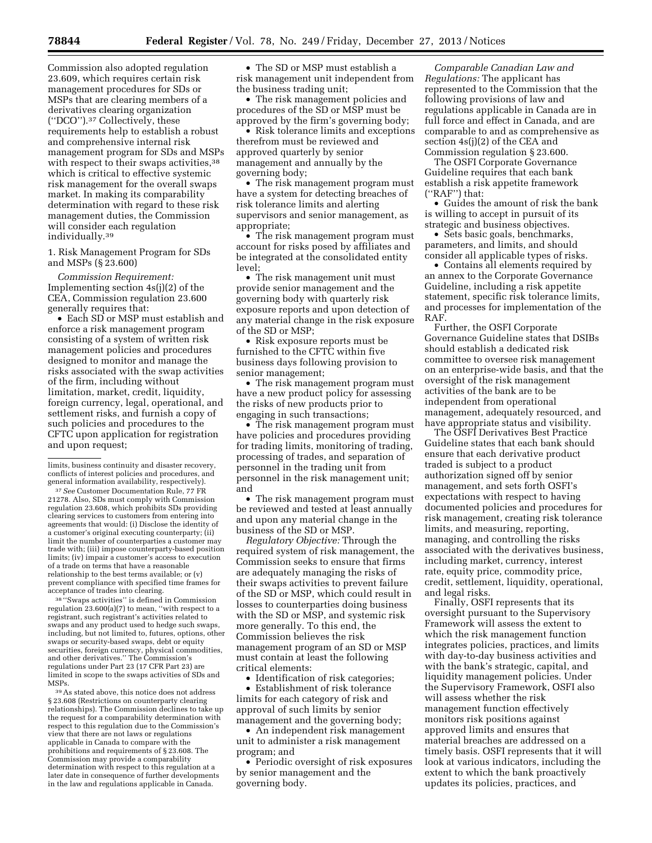Commission also adopted regulation 23.609, which requires certain risk management procedures for SDs or MSPs that are clearing members of a derivatives clearing organization (''DCO'').37 Collectively, these requirements help to establish a robust and comprehensive internal risk management program for SDs and MSPs with respect to their swaps activities,<sup>38</sup> which is critical to effective systemic risk management for the overall swaps market. In making its comparability determination with regard to these risk management duties, the Commission will consider each regulation individually.39

1. Risk Management Program for SDs and MSPs (§ 23.600)

*Commission Requirement:*  Implementing section 4s(j)(2) of the CEA, Commission regulation 23.600 generally requires that:

• Each SD or MSP must establish and enforce a risk management program consisting of a system of written risk management policies and procedures designed to monitor and manage the risks associated with the swap activities of the firm, including without limitation, market, credit, liquidity, foreign currency, legal, operational, and settlement risks, and furnish a copy of such policies and procedures to the CFTC upon application for registration and upon request;

21278. Also, SDs must comply with Commission regulation 23.608, which prohibits SDs providing clearing services to customers from entering into agreements that would: (i) Disclose the identity of a customer's original executing counterparty; (ii) limit the number of counterparties a customer may trade with; (iii) impose counterparty-based position limits; (iv) impair a customer's access to execution of a trade on terms that have a reasonable relationship to the best terms available; or (v) prevent compliance with specified time frames for acceptance of trades into clearing.

<sup>38</sup> "Swaps activities" is defined in Commission regulation 23.600(a)(7) to mean, ''with respect to a registrant, such registrant's activities related to swaps and any product used to hedge such swaps, including, but not limited to, futures, options, other swaps or security-based swaps, debt or equity securities, foreign currency, physical commodities, and other derivatives.'' The Commission's regulations under Part 23 (17 CFR Part 23) are limited in scope to the swaps activities of SDs and MSPs.

39As stated above, this notice does not address § 23.608 (Restrictions on counterparty clearing relationships). The Commission declines to take up the request for a comparability determination with respect to this regulation due to the Commission's view that there are not laws or regulations applicable in Canada to compare with the prohibitions and requirements of § 23.608. The Commission may provide a comparability determination with respect to this regulation at a later date in consequence of further developments in the law and regulations applicable in Canada.

• The SD or MSP must establish a risk management unit independent from the business trading unit;

• The risk management policies and procedures of the SD or MSP must be approved by the firm's governing body;

• Risk tolerance limits and exceptions therefrom must be reviewed and approved quarterly by senior management and annually by the governing body;

• The risk management program must have a system for detecting breaches of risk tolerance limits and alerting supervisors and senior management, as appropriate;

• The risk management program must account for risks posed by affiliates and be integrated at the consolidated entity level;

• The risk management unit must provide senior management and the governing body with quarterly risk exposure reports and upon detection of any material change in the risk exposure of the SD or MSP;

• Risk exposure reports must be furnished to the CFTC within five business days following provision to senior management;

• The risk management program must have a new product policy for assessing the risks of new products prior to engaging in such transactions;

• The risk management program must have policies and procedures providing for trading limits, monitoring of trading, processing of trades, and separation of personnel in the trading unit from personnel in the risk management unit; and

• The risk management program must be reviewed and tested at least annually and upon any material change in the business of the SD or MSP.

*Regulatory Objective:* Through the required system of risk management, the Commission seeks to ensure that firms are adequately managing the risks of their swaps activities to prevent failure of the SD or MSP, which could result in losses to counterparties doing business with the SD or MSP, and systemic risk more generally. To this end, the Commission believes the risk management program of an SD or MSP must contain at least the following critical elements:

• Identification of risk categories;

• Establishment of risk tolerance limits for each category of risk and approval of such limits by senior management and the governing body;

• An independent risk management unit to administer a risk management program; and

• Periodic oversight of risk exposures by senior management and the governing body.

*Comparable Canadian Law and Regulations:* The applicant has represented to the Commission that the following provisions of law and regulations applicable in Canada are in full force and effect in Canada, and are comparable to and as comprehensive as section 4s(j)(2) of the CEA and Commission regulation § 23.600.

The OSFI Corporate Governance Guideline requires that each bank establish a risk appetite framework (''RAF'') that:

• Guides the amount of risk the bank is willing to accept in pursuit of its strategic and business objectives.

• Sets basic goals, benchmarks, parameters, and limits, and should consider all applicable types of risks.

• Contains all elements required by an annex to the Corporate Governance Guideline, including a risk appetite statement, specific risk tolerance limits, and processes for implementation of the RAF.

Further, the OSFI Corporate Governance Guideline states that DSIBs should establish a dedicated risk committee to oversee risk management on an enterprise-wide basis, and that the oversight of the risk management activities of the bank are to be independent from operational management, adequately resourced, and have appropriate status and visibility.

The OSFI Derivatives Best Practice Guideline states that each bank should ensure that each derivative product traded is subject to a product authorization signed off by senior management, and sets forth OSFI's expectations with respect to having documented policies and procedures for risk management, creating risk tolerance limits, and measuring, reporting, managing, and controlling the risks associated with the derivatives business, including market, currency, interest rate, equity price, commodity price, credit, settlement, liquidity, operational, and legal risks.

Finally, OSFI represents that its oversight pursuant to the Supervisory Framework will assess the extent to which the risk management function integrates policies, practices, and limits with day-to-day business activities and with the bank's strategic, capital, and liquidity management policies. Under the Supervisory Framework, OSFI also will assess whether the risk management function effectively monitors risk positions against approved limits and ensures that material breaches are addressed on a timely basis. OSFI represents that it will look at various indicators, including the extent to which the bank proactively updates its policies, practices, and

limits, business continuity and disaster recovery, conflicts of interest policies and procedures, and general information availability, respectively). 37*See* Customer Documentation Rule, 77 FR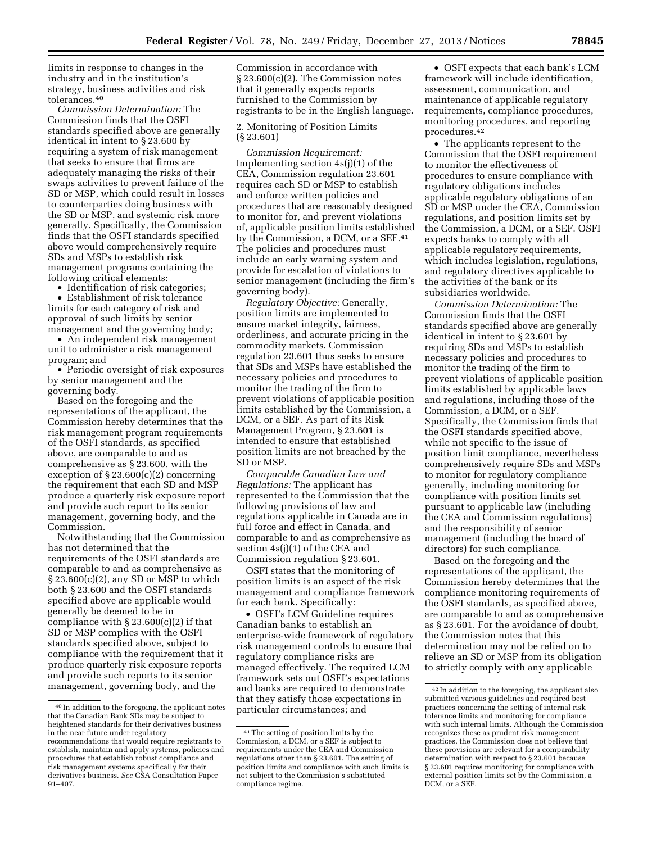limits in response to changes in the industry and in the institution's strategy, business activities and risk tolerances.40

*Commission Determination:* The Commission finds that the OSFI standards specified above are generally identical in intent to § 23.600 by requiring a system of risk management that seeks to ensure that firms are adequately managing the risks of their swaps activities to prevent failure of the SD or MSP, which could result in losses to counterparties doing business with the SD or MSP, and systemic risk more generally. Specifically, the Commission finds that the OSFI standards specified above would comprehensively require SDs and MSPs to establish risk management programs containing the following critical elements:

• Identification of risk categories;

• Establishment of risk tolerance limits for each category of risk and approval of such limits by senior management and the governing body;

• An independent risk management unit to administer a risk management program; and

• Periodic oversight of risk exposures by senior management and the governing body.

Based on the foregoing and the representations of the applicant, the Commission hereby determines that the risk management program requirements of the OSFI standards, as specified above, are comparable to and as comprehensive as § 23.600, with the exception of  $\S 23.600(c)(2)$  concerning the requirement that each SD and MSP produce a quarterly risk exposure report and provide such report to its senior management, governing body, and the Commission.

Notwithstanding that the Commission has not determined that the requirements of the OSFI standards are comparable to and as comprehensive as  $\S 23.600(c)(2)$ , any SD or MSP to which both § 23.600 and the OSFI standards specified above are applicable would generally be deemed to be in compliance with  $\S 23.600(c)(2)$  if that SD or MSP complies with the OSFI standards specified above, subject to compliance with the requirement that it produce quarterly risk exposure reports and provide such reports to its senior management, governing body, and the

Commission in accordance with § 23.600(c)(2). The Commission notes that it generally expects reports furnished to the Commission by registrants to be in the English language.

2. Monitoring of Position Limits (§ 23.601)

*Commission Requirement:*  Implementing section 4s(j)(1) of the CEA, Commission regulation 23.601 requires each SD or MSP to establish and enforce written policies and procedures that are reasonably designed to monitor for, and prevent violations of, applicable position limits established by the Commission, a DCM, or a SEF.41 The policies and procedures must include an early warning system and provide for escalation of violations to senior management (including the firm's governing body).

*Regulatory Objective:* Generally, position limits are implemented to ensure market integrity, fairness, orderliness, and accurate pricing in the commodity markets. Commission regulation 23.601 thus seeks to ensure that SDs and MSPs have established the necessary policies and procedures to monitor the trading of the firm to prevent violations of applicable position limits established by the Commission, a DCM, or a SEF. As part of its Risk Management Program, § 23.601 is intended to ensure that established position limits are not breached by the SD or MSP.

*Comparable Canadian Law and Regulations:* The applicant has represented to the Commission that the following provisions of law and regulations applicable in Canada are in full force and effect in Canada, and comparable to and as comprehensive as section 4s(j)(1) of the CEA and Commission regulation § 23.601.

OSFI states that the monitoring of position limits is an aspect of the risk management and compliance framework for each bank. Specifically:

• OSFI's LCM Guideline requires Canadian banks to establish an enterprise-wide framework of regulatory risk management controls to ensure that regulatory compliance risks are managed effectively. The required LCM framework sets out OSFI's expectations and banks are required to demonstrate that they satisfy those expectations in particular circumstances; and

• OSFI expects that each bank's LCM framework will include identification, assessment, communication, and maintenance of applicable regulatory requirements, compliance procedures, monitoring procedures, and reporting procedures.42

• The applicants represent to the Commission that the OSFI requirement to monitor the effectiveness of procedures to ensure compliance with regulatory obligations includes applicable regulatory obligations of an SD or MSP under the CEA, Commission regulations, and position limits set by the Commission, a DCM, or a SEF. OSFI expects banks to comply with all applicable regulatory requirements, which includes legislation, regulations, and regulatory directives applicable to the activities of the bank or its subsidiaries worldwide.

*Commission Determination:* The Commission finds that the OSFI standards specified above are generally identical in intent to § 23.601 by requiring SDs and MSPs to establish necessary policies and procedures to monitor the trading of the firm to prevent violations of applicable position limits established by applicable laws and regulations, including those of the Commission, a DCM, or a SEF. Specifically, the Commission finds that the OSFI standards specified above, while not specific to the issue of position limit compliance, nevertheless comprehensively require SDs and MSPs to monitor for regulatory compliance generally, including monitoring for compliance with position limits set pursuant to applicable law (including the CEA and Commission regulations) and the responsibility of senior management (including the board of directors) for such compliance.

Based on the foregoing and the representations of the applicant, the Commission hereby determines that the compliance monitoring requirements of the OSFI standards, as specified above, are comparable to and as comprehensive as § 23.601. For the avoidance of doubt, the Commission notes that this determination may not be relied on to relieve an SD or MSP from its obligation to strictly comply with any applicable

<sup>40</sup> In addition to the foregoing, the applicant notes that the Canadian Bank SDs may be subject to heightened standards for their derivatives business in the near future under regulatory recommendations that would require registrants to establish, maintain and apply systems, policies and procedures that establish robust compliance and risk management systems specifically for their derivatives business. *See* CSA Consultation Paper 91–407.

<sup>41</sup>The setting of position limits by the Commission, a DCM, or a SEF is subject to requirements under the CEA and Commission regulations other than § 23.601. The setting of position limits and compliance with such limits is not subject to the Commission's substituted compliance regime.

<sup>42</sup> In addition to the foregoing, the applicant also submitted various guidelines and required best practices concerning the setting of internal risk tolerance limits and monitoring for compliance with such internal limits. Although the Commission recognizes these as prudent risk management practices, the Commission does not believe that these provisions are relevant for a comparability determination with respect to § 23.601 because § 23.601 requires monitoring for compliance with external position limits set by the Commission, a DCM, or a SEF.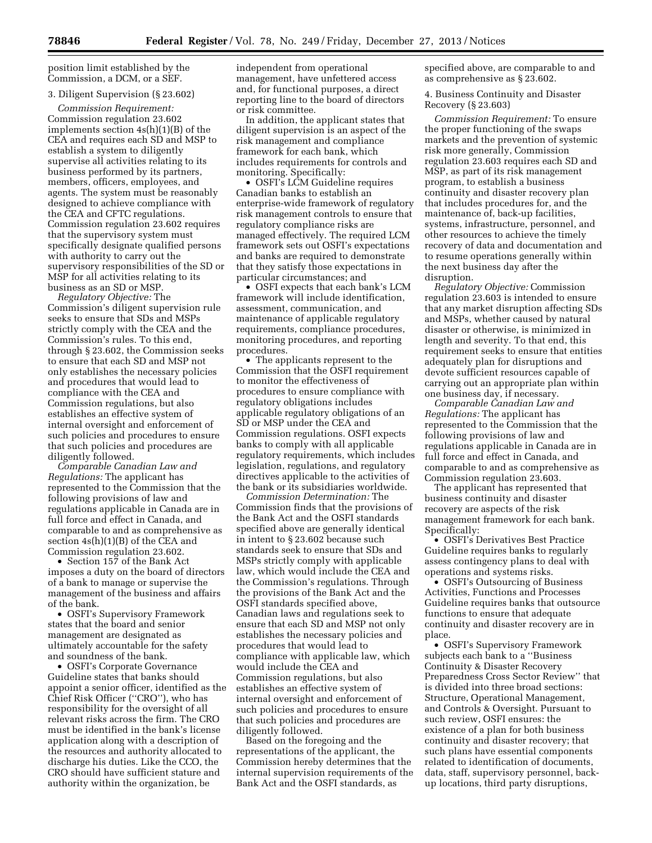position limit established by the Commission, a DCM, or a SEF.

#### 3. Diligent Supervision (§ 23.602)

*Commission Requirement:*  Commission regulation 23.602 implements section 4s(h)(1)(B) of the CEA and requires each SD and MSP to establish a system to diligently supervise all activities relating to its business performed by its partners, members, officers, employees, and agents. The system must be reasonably designed to achieve compliance with the CEA and CFTC regulations. Commission regulation 23.602 requires that the supervisory system must specifically designate qualified persons with authority to carry out the supervisory responsibilities of the SD or MSP for all activities relating to its business as an SD or MSP.

*Regulatory Objective:* The Commission's diligent supervision rule seeks to ensure that SDs and MSPs strictly comply with the CEA and the Commission's rules. To this end, through § 23.602, the Commission seeks to ensure that each SD and MSP not only establishes the necessary policies and procedures that would lead to compliance with the CEA and Commission regulations, but also establishes an effective system of internal oversight and enforcement of such policies and procedures to ensure that such policies and procedures are diligently followed.

*Comparable Canadian Law and Regulations:* The applicant has represented to the Commission that the following provisions of law and regulations applicable in Canada are in full force and effect in Canada, and comparable to and as comprehensive as section 4s(h)(1)(B) of the CEA and Commission regulation 23.602.

• Section 157 of the Bank Act imposes a duty on the board of directors of a bank to manage or supervise the management of the business and affairs of the bank.

• OSFI's Supervisory Framework states that the board and senior management are designated as ultimately accountable for the safety and soundness of the bank.

• OSFI's Corporate Governance Guideline states that banks should appoint a senior officer, identified as the Chief Risk Officer (''CRO''), who has responsibility for the oversight of all relevant risks across the firm. The CRO must be identified in the bank's license application along with a description of the resources and authority allocated to discharge his duties. Like the CCO, the CRO should have sufficient stature and authority within the organization, be

independent from operational management, have unfettered access and, for functional purposes, a direct reporting line to the board of directors or risk committee.

In addition, the applicant states that diligent supervision is an aspect of the risk management and compliance framework for each bank, which includes requirements for controls and monitoring. Specifically:

• OSFI's LCM Guideline requires Canadian banks to establish an enterprise-wide framework of regulatory risk management controls to ensure that regulatory compliance risks are managed effectively. The required LCM framework sets out OSFI's expectations and banks are required to demonstrate that they satisfy those expectations in particular circumstances; and

• OSFI expects that each bank's LCM framework will include identification, assessment, communication, and maintenance of applicable regulatory requirements, compliance procedures, monitoring procedures, and reporting procedures.

• The applicants represent to the Commission that the OSFI requirement to monitor the effectiveness of procedures to ensure compliance with regulatory obligations includes applicable regulatory obligations of an SD or MSP under the CEA and Commission regulations. OSFI expects banks to comply with all applicable regulatory requirements, which includes legislation, regulations, and regulatory directives applicable to the activities of the bank or its subsidiaries worldwide.

*Commission Determination:* The Commission finds that the provisions of the Bank Act and the OSFI standards specified above are generally identical in intent to § 23.602 because such standards seek to ensure that SDs and MSPs strictly comply with applicable law, which would include the CEA and the Commission's regulations. Through the provisions of the Bank Act and the OSFI standards specified above, Canadian laws and regulations seek to ensure that each SD and MSP not only establishes the necessary policies and procedures that would lead to compliance with applicable law, which would include the CEA and Commission regulations, but also establishes an effective system of internal oversight and enforcement of such policies and procedures to ensure that such policies and procedures are diligently followed.

Based on the foregoing and the representations of the applicant, the Commission hereby determines that the internal supervision requirements of the Bank Act and the OSFI standards, as

specified above, are comparable to and as comprehensive as § 23.602.

4. Business Continuity and Disaster Recovery (§ 23.603)

*Commission Requirement:* To ensure the proper functioning of the swaps markets and the prevention of systemic risk more generally, Commission regulation 23.603 requires each SD and MSP, as part of its risk management program, to establish a business continuity and disaster recovery plan that includes procedures for, and the maintenance of, back-up facilities, systems, infrastructure, personnel, and other resources to achieve the timely recovery of data and documentation and to resume operations generally within the next business day after the disruption.

*Regulatory Objective:* Commission regulation 23.603 is intended to ensure that any market disruption affecting SDs and MSPs, whether caused by natural disaster or otherwise, is minimized in length and severity. To that end, this requirement seeks to ensure that entities adequately plan for disruptions and devote sufficient resources capable of carrying out an appropriate plan within one business day, if necessary.

*Comparable Canadian Law and Regulations:* The applicant has represented to the Commission that the following provisions of law and regulations applicable in Canada are in full force and effect in Canada, and comparable to and as comprehensive as Commission regulation 23.603.

The applicant has represented that business continuity and disaster recovery are aspects of the risk management framework for each bank. Specifically:

• OSFI's Derivatives Best Practice Guideline requires banks to regularly assess contingency plans to deal with operations and systems risks.

• OSFI's Outsourcing of Business Activities, Functions and Processes Guideline requires banks that outsource functions to ensure that adequate continuity and disaster recovery are in place.

• OSFI's Supervisory Framework subjects each bank to a ''Business Continuity & Disaster Recovery Preparedness Cross Sector Review'' that is divided into three broad sections: Structure, Operational Management, and Controls & Oversight. Pursuant to such review, OSFI ensures: the existence of a plan for both business continuity and disaster recovery; that such plans have essential components related to identification of documents, data, staff, supervisory personnel, backup locations, third party disruptions,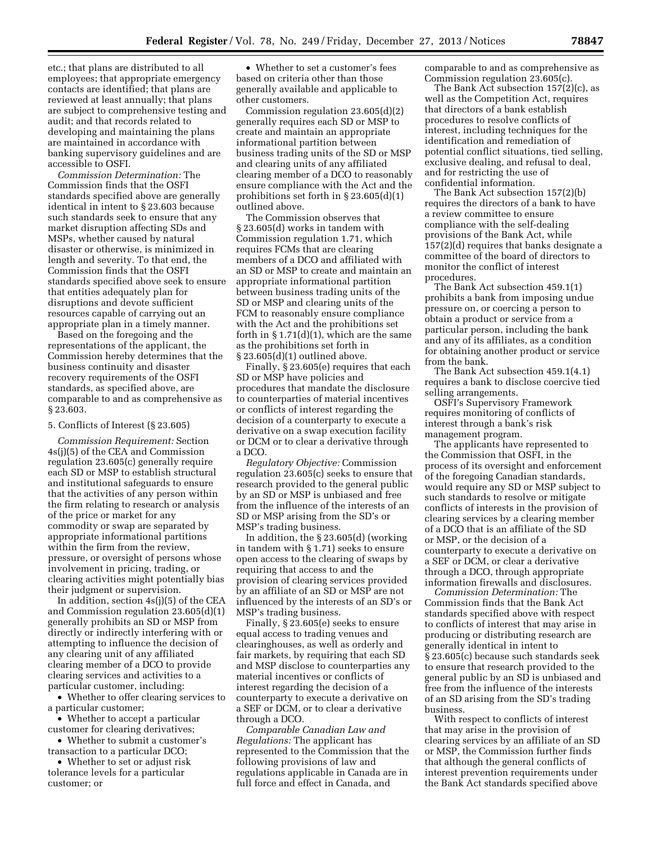etc.; that plans are distributed to all employees; that appropriate emergency contacts are identified; that plans are reviewed at least annually; that plans are subject to comprehensive testing and audit; and that records related to developing and maintaining the plans are maintained in accordance with banking supervisory guidelines and are accessible to OSFI.

*Commission Determination:* The Commission finds that the OSFI standards specified above are generally identical in intent to § 23.603 because such standards seek to ensure that any market disruption affecting SDs and MSPs, whether caused by natural disaster or otherwise, is minimized in length and severity. To that end, the Commission finds that the OSFI standards specified above seek to ensure that entities adequately plan for disruptions and devote sufficient resources capable of carrying out an appropriate plan in a timely manner.

Based on the foregoing and the representations of the applicant, the Commission hereby determines that the business continuity and disaster recovery requirements of the OSFI standards, as specified above, are comparable to and as comprehensive as § 23.603.

### 5. Conflicts of Interest (§ 23.605)

*Commission Requirement:* Section 4s(j)(5) of the CEA and Commission regulation 23.605(c) generally require each SD or MSP to establish structural and institutional safeguards to ensure that the activities of any person within the firm relating to research or analysis of the price or market for any commodity or swap are separated by appropriate informational partitions within the firm from the review, pressure, or oversight of persons whose involvement in pricing, trading, or clearing activities might potentially bias their judgment or supervision.

In addition, section 4s(j)(5) of the CEA and Commission regulation 23.605(d)(1) generally prohibits an SD or MSP from directly or indirectly interfering with or attempting to influence the decision of any clearing unit of any affiliated clearing member of a DCO to provide clearing services and activities to a particular customer, including:

• Whether to offer clearing services to a particular customer;

• Whether to accept a particular customer for clearing derivatives;

• Whether to submit a customer's transaction to a particular DCO;

• Whether to set or adjust risk tolerance levels for a particular customer; or

• Whether to set a customer's fees based on criteria other than those generally available and applicable to other customers.

Commission regulation 23.605(d)(2) generally requires each SD or MSP to create and maintain an appropriate informational partition between business trading units of the SD or MSP and clearing units of any affiliated clearing member of a DCO to reasonably ensure compliance with the Act and the prohibitions set forth in § 23.605(d)(1) outlined above.

The Commission observes that § 23.605(d) works in tandem with Commission regulation 1.71, which requires FCMs that are clearing members of a DCO and affiliated with an SD or MSP to create and maintain an appropriate informational partition between business trading units of the SD or MSP and clearing units of the FCM to reasonably ensure compliance with the Act and the prohibitions set forth in  $\S 1.71(d)(1)$ , which are the same as the prohibitions set forth in § 23.605(d)(1) outlined above.

Finally, § 23.605(e) requires that each SD or MSP have policies and procedures that mandate the disclosure to counterparties of material incentives or conflicts of interest regarding the decision of a counterparty to execute a derivative on a swap execution facility or DCM or to clear a derivative through a DCO.

*Regulatory Objective:* Commission regulation 23.605(c) seeks to ensure that research provided to the general public by an SD or MSP is unbiased and free from the influence of the interests of an SD or MSP arising from the SD's or MSP's trading business.

In addition, the § 23.605(d) (working in tandem with § 1.71) seeks to ensure open access to the clearing of swaps by requiring that access to and the provision of clearing services provided by an affiliate of an SD or MSP are not influenced by the interests of an SD's or MSP's trading business.

Finally, § 23.605(e) seeks to ensure equal access to trading venues and clearinghouses, as well as orderly and fair markets, by requiring that each SD and MSP disclose to counterparties any material incentives or conflicts of interest regarding the decision of a counterparty to execute a derivative on a SEF or DCM, or to clear a derivative through a DCO.

*Comparable Canadian Law and Regulations:* The applicant has represented to the Commission that the following provisions of law and regulations applicable in Canada are in full force and effect in Canada, and

comparable to and as comprehensive as Commission regulation 23.605(c).

The Bank Act subsection 157(2)(c), as well as the Competition Act, requires that directors of a bank establish procedures to resolve conflicts of interest, including techniques for the identification and remediation of potential conflict situations, tied selling, exclusive dealing, and refusal to deal, and for restricting the use of confidential information.

The Bank Act subsection 157(2)(b) requires the directors of a bank to have a review committee to ensure compliance with the self-dealing provisions of the Bank Act, while 157(2)(d) requires that banks designate a committee of the board of directors to monitor the conflict of interest procedures.

The Bank Act subsection 459.1(1) prohibits a bank from imposing undue pressure on, or coercing a person to obtain a product or service from a particular person, including the bank and any of its affiliates, as a condition for obtaining another product or service from the bank.

The Bank Act subsection 459.1(4.1) requires a bank to disclose coercive tied selling arrangements.

OSFI's Supervisory Framework requires monitoring of conflicts of interest through a bank's risk management program.

The applicants have represented to the Commission that OSFI, in the process of its oversight and enforcement of the foregoing Canadian standards, would require any SD or MSP subject to such standards to resolve or mitigate conflicts of interests in the provision of clearing services by a clearing member of a DCO that is an affiliate of the SD or MSP, or the decision of a counterparty to execute a derivative on a SEF or DCM, or clear a derivative through a DCO, through appropriate information firewalls and disclosures.

*Commission Determination:* The Commission finds that the Bank Act standards specified above with respect to conflicts of interest that may arise in producing or distributing research are generally identical in intent to § 23.605(c) because such standards seek to ensure that research provided to the general public by an SD is unbiased and free from the influence of the interests of an SD arising from the SD's trading business.

With respect to conflicts of interest that may arise in the provision of clearing services by an affiliate of an SD or MSP, the Commission further finds that although the general conflicts of interest prevention requirements under the Bank Act standards specified above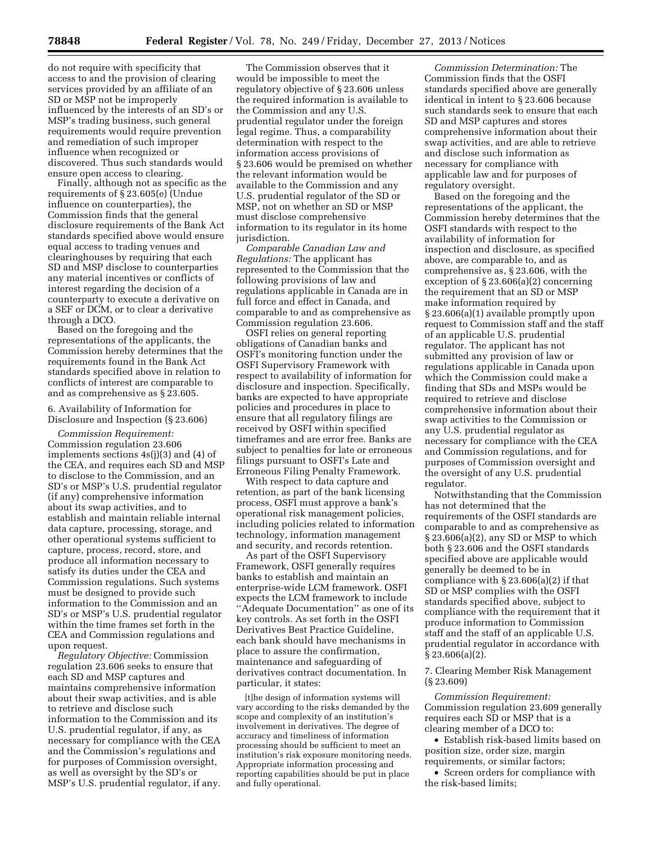requirements would require prevention and remediation of such improper influence when recognized or discovered. Thus such standards would ensure open access to clearing.

Finally, although not as specific as the requirements of § 23.605(e) (Undue influence on counterparties), the Commission finds that the general disclosure requirements of the Bank Act standards specified above would ensure equal access to trading venues and clearinghouses by requiring that each SD and MSP disclose to counterparties any material incentives or conflicts of interest regarding the decision of a counterparty to execute a derivative on a SEF or DCM, or to clear a derivative through a DCO.

Based on the foregoing and the representations of the applicants, the Commission hereby determines that the requirements found in the Bank Act standards specified above in relation to conflicts of interest are comparable to and as comprehensive as § 23.605.

# 6. Availability of Information for Disclosure and Inspection (§ 23.606)

*Commission Requirement:*  Commission regulation 23.606 implements sections 4s(j)(3) and (4) of the CEA, and requires each SD and MSP to disclose to the Commission, and an SD's or MSP's U.S. prudential regulator (if any) comprehensive information about its swap activities, and to establish and maintain reliable internal data capture, processing, storage, and other operational systems sufficient to capture, process, record, store, and produce all information necessary to satisfy its duties under the CEA and Commission regulations. Such systems must be designed to provide such information to the Commission and an SD's or MSP's U.S. prudential regulator within the time frames set forth in the CEA and Commission regulations and upon request.

*Regulatory Objective:* Commission regulation 23.606 seeks to ensure that each SD and MSP captures and maintains comprehensive information about their swap activities, and is able to retrieve and disclose such information to the Commission and its U.S. prudential regulator, if any, as necessary for compliance with the CEA and the Commission's regulations and for purposes of Commission oversight, as well as oversight by the SD's or MSP's U.S. prudential regulator, if any.

The Commission observes that it would be impossible to meet the regulatory objective of § 23.606 unless the required information is available to the Commission and any U.S. prudential regulator under the foreign legal regime. Thus, a comparability determination with respect to the information access provisions of § 23.606 would be premised on whether the relevant information would be available to the Commission and any U.S. prudential regulator of the SD or MSP, not on whether an SD or MSP must disclose comprehensive information to its regulator in its home jurisdiction.

*Comparable Canadian Law and Regulations:* The applicant has represented to the Commission that the following provisions of law and regulations applicable in Canada are in full force and effect in Canada, and comparable to and as comprehensive as Commission regulation 23.606.

OSFI relies on general reporting obligations of Canadian banks and OSFI's monitoring function under the OSFI Supervisory Framework with respect to availability of information for disclosure and inspection. Specifically, banks are expected to have appropriate policies and procedures in place to ensure that all regulatory filings are received by OSFI within specified timeframes and are error free. Banks are subject to penalties for late or erroneous filings pursuant to OSFI's Late and Erroneous Filing Penalty Framework.

With respect to data capture and retention, as part of the bank licensing process, OSFI must approve a bank's operational risk management policies, including policies related to information technology, information management and security, and records retention.

As part of the OSFI Supervisory Framework, OSFI generally requires banks to establish and maintain an enterprise-wide LCM framework. OSFI expects the LCM framework to include ''Adequate Documentation'' as one of its key controls. As set forth in the OSFI Derivatives Best Practice Guideline, each bank should have mechanisms in place to assure the confirmation, maintenance and safeguarding of derivatives contract documentation. In particular, it states:

[t]he design of information systems will vary according to the risks demanded by the scope and complexity of an institution's involvement in derivatives. The degree of accuracy and timeliness of information processing should be sufficient to meet an institution's risk exposure monitoring needs. Appropriate information processing and reporting capabilities should be put in place and fully operational.

*Commission Determination:* The Commission finds that the OSFI standards specified above are generally identical in intent to § 23.606 because such standards seek to ensure that each SD and MSP captures and stores comprehensive information about their swap activities, and are able to retrieve and disclose such information as necessary for compliance with applicable law and for purposes of regulatory oversight.

Based on the foregoing and the representations of the applicant, the Commission hereby determines that the OSFI standards with respect to the availability of information for inspection and disclosure, as specified above, are comparable to, and as comprehensive as, § 23.606, with the exception of § 23.606(a)(2) concerning the requirement that an SD or MSP make information required by § 23.606(a)(1) available promptly upon request to Commission staff and the staff of an applicable U.S. prudential regulator. The applicant has not submitted any provision of law or regulations applicable in Canada upon which the Commission could make a finding that SDs and MSPs would be required to retrieve and disclose comprehensive information about their swap activities to the Commission or any U.S. prudential regulator as necessary for compliance with the CEA and Commission regulations, and for purposes of Commission oversight and the oversight of any U.S. prudential regulator.

Notwithstanding that the Commission has not determined that the requirements of the OSFI standards are comparable to and as comprehensive as § 23.606(a)(2), any SD or MSP to which both § 23.606 and the OSFI standards specified above are applicable would generally be deemed to be in compliance with § 23.606(a)(2) if that SD or MSP complies with the OSFI standards specified above, subject to compliance with the requirement that it produce information to Commission staff and the staff of an applicable U.S. prudential regulator in accordance with § 23.606(a)(2).

7. Clearing Member Risk Management (§ 23.609)

*Commission Requirement:*  Commission regulation 23.609 generally requires each SD or MSP that is a clearing member of a DCO to:

• Establish risk-based limits based on position size, order size, margin requirements, or similar factors;

• Screen orders for compliance with the risk-based limits;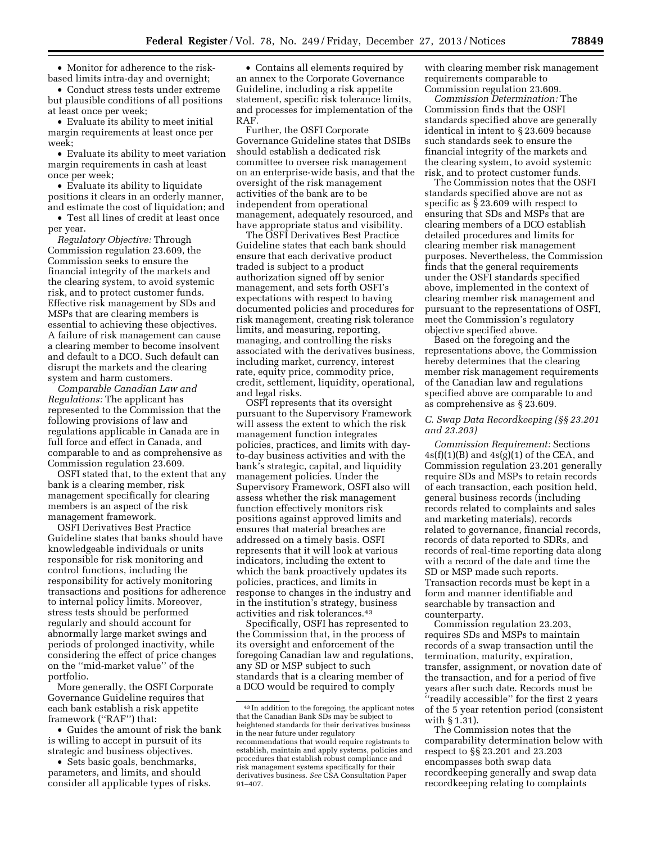• Monitor for adherence to the riskbased limits intra-day and overnight;

• Conduct stress tests under extreme but plausible conditions of all positions at least once per week;

• Evaluate its ability to meet initial margin requirements at least once per week;

• Evaluate its ability to meet variation margin requirements in cash at least once per week;

• Evaluate its ability to liquidate positions it clears in an orderly manner, and estimate the cost of liquidation; and

• Test all lines of credit at least once per year.

*Regulatory Objective:* Through Commission regulation 23.609, the Commission seeks to ensure the financial integrity of the markets and the clearing system, to avoid systemic risk, and to protect customer funds. Effective risk management by SDs and MSPs that are clearing members is essential to achieving these objectives. A failure of risk management can cause a clearing member to become insolvent and default to a DCO. Such default can disrupt the markets and the clearing system and harm customers.

*Comparable Canadian Law and Regulations:* The applicant has represented to the Commission that the following provisions of law and regulations applicable in Canada are in full force and effect in Canada, and comparable to and as comprehensive as Commission regulation 23.609.

OSFI stated that, to the extent that any bank is a clearing member, risk management specifically for clearing members is an aspect of the risk management framework.

OSFI Derivatives Best Practice Guideline states that banks should have knowledgeable individuals or units responsible for risk monitoring and control functions, including the responsibility for actively monitoring transactions and positions for adherence to internal policy limits. Moreover, stress tests should be performed regularly and should account for abnormally large market swings and periods of prolonged inactivity, while considering the effect of price changes on the ''mid-market value'' of the portfolio.

More generally, the OSFI Corporate Governance Guideline requires that each bank establish a risk appetite framework (''RAF'') that:

• Guides the amount of risk the bank is willing to accept in pursuit of its strategic and business objectives.

• Sets basic goals, benchmarks, parameters, and limits, and should consider all applicable types of risks.

• Contains all elements required by an annex to the Corporate Governance Guideline, including a risk appetite statement, specific risk tolerance limits, and processes for implementation of the RAF.

Further, the OSFI Corporate Governance Guideline states that DSIBs should establish a dedicated risk committee to oversee risk management on an enterprise-wide basis, and that the oversight of the risk management activities of the bank are to be independent from operational management, adequately resourced, and have appropriate status and visibility.

The OSFI Derivatives Best Practice Guideline states that each bank should ensure that each derivative product traded is subject to a product authorization signed off by senior management, and sets forth OSFI's expectations with respect to having documented policies and procedures for risk management, creating risk tolerance limits, and measuring, reporting, managing, and controlling the risks associated with the derivatives business, including market, currency, interest rate, equity price, commodity price, credit, settlement, liquidity, operational, and legal risks.

OSFI represents that its oversight pursuant to the Supervisory Framework will assess the extent to which the risk management function integrates policies, practices, and limits with dayto-day business activities and with the bank's strategic, capital, and liquidity management policies. Under the Supervisory Framework, OSFI also will assess whether the risk management function effectively monitors risk positions against approved limits and ensures that material breaches are addressed on a timely basis. OSFI represents that it will look at various indicators, including the extent to which the bank proactively updates its policies, practices, and limits in response to changes in the industry and in the institution's strategy, business activities and risk tolerances.43

Specifically, OSFI has represented to the Commission that, in the process of its oversight and enforcement of the foregoing Canadian law and regulations, any SD or MSP subject to such standards that is a clearing member of a DCO would be required to comply

with clearing member risk management requirements comparable to Commission regulation 23.609.

*Commission Determination:* The Commission finds that the OSFI standards specified above are generally identical in intent to § 23.609 because such standards seek to ensure the financial integrity of the markets and the clearing system, to avoid systemic risk, and to protect customer funds.

The Commission notes that the OSFI standards specified above are not as specific as § 23.609 with respect to ensuring that SDs and MSPs that are clearing members of a DCO establish detailed procedures and limits for clearing member risk management purposes. Nevertheless, the Commission finds that the general requirements under the OSFI standards specified above, implemented in the context of clearing member risk management and pursuant to the representations of OSFI, meet the Commission's regulatory objective specified above.

Based on the foregoing and the representations above, the Commission hereby determines that the clearing member risk management requirements of the Canadian law and regulations specified above are comparable to and as comprehensive as § 23.609.

## *C. Swap Data Recordkeeping (§§ 23.201 and 23.203)*

*Commission Requirement:* Sections  $4s(f)(1)(B)$  and  $4s(g)(1)$  of the CEA, and Commission regulation 23.201 generally require SDs and MSPs to retain records of each transaction, each position held, general business records (including records related to complaints and sales and marketing materials), records related to governance, financial records, records of data reported to SDRs, and records of real-time reporting data along with a record of the date and time the SD or MSP made such reports. Transaction records must be kept in a form and manner identifiable and searchable by transaction and counterparty.

Commission regulation 23.203, requires SDs and MSPs to maintain records of a swap transaction until the termination, maturity, expiration, transfer, assignment, or novation date of the transaction, and for a period of five years after such date. Records must be ''readily accessible'' for the first 2 years of the 5 year retention period (consistent with § 1.31).

The Commission notes that the comparability determination below with respect to §§ 23.201 and 23.203 encompasses both swap data recordkeeping generally and swap data recordkeeping relating to complaints

<sup>43</sup> In addition to the foregoing, the applicant notes that the Canadian Bank SDs may be subject to heightened standards for their derivatives business in the near future under regulatory recommendations that would require registrants to establish, maintain and apply systems, policies and procedures that establish robust compliance and risk management systems specifically for their derivatives business. *See* CSA Consultation Paper 91–407.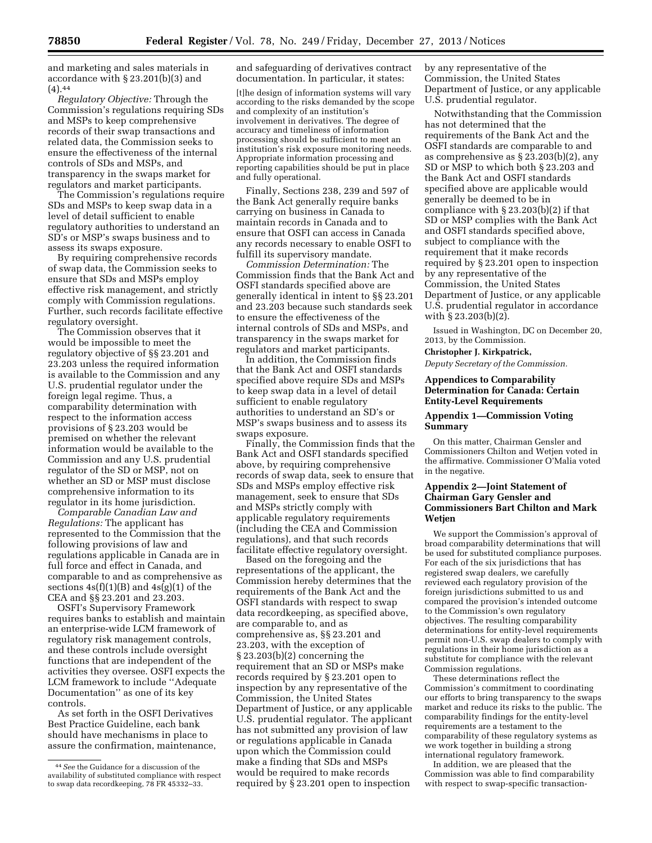and marketing and sales materials in accordance with § 23.201(b)(3) and  $(4).44$ 

*Regulatory Objective:* Through the Commission's regulations requiring SDs and MSPs to keep comprehensive records of their swap transactions and related data, the Commission seeks to ensure the effectiveness of the internal controls of SDs and MSPs, and transparency in the swaps market for regulators and market participants.

The Commission's regulations require SDs and MSPs to keep swap data in a level of detail sufficient to enable regulatory authorities to understand an SD's or MSP's swaps business and to assess its swaps exposure.

By requiring comprehensive records of swap data, the Commission seeks to ensure that SDs and MSPs employ effective risk management, and strictly comply with Commission regulations. Further, such records facilitate effective regulatory oversight.

The Commission observes that it would be impossible to meet the regulatory objective of §§ 23.201 and 23.203 unless the required information is available to the Commission and any U.S. prudential regulator under the foreign legal regime. Thus, a comparability determination with respect to the information access provisions of § 23.203 would be premised on whether the relevant information would be available to the Commission and any U.S. prudential regulator of the SD or MSP, not on whether an SD or MSP must disclose comprehensive information to its regulator in its home jurisdiction.

*Comparable Canadian Law and Regulations:* The applicant has represented to the Commission that the following provisions of law and regulations applicable in Canada are in full force and effect in Canada, and comparable to and as comprehensive as sections  $4s(f)(1)(B)$  and  $4s(g)(1)$  of the CEA and §§ 23.201 and 23.203.

OSFI's Supervisory Framework requires banks to establish and maintain an enterprise-wide LCM framework of regulatory risk management controls, and these controls include oversight functions that are independent of the activities they oversee. OSFI expects the LCM framework to include ''Adequate Documentation'' as one of its key controls.

As set forth in the OSFI Derivatives Best Practice Guideline, each bank should have mechanisms in place to assure the confirmation, maintenance, and safeguarding of derivatives contract documentation. In particular, it states:

[t]he design of information systems will vary according to the risks demanded by the scope and complexity of an institution's involvement in derivatives. The degree of accuracy and timeliness of information processing should be sufficient to meet an institution's risk exposure monitoring needs. Appropriate information processing and reporting capabilities should be put in place and fully operational.

Finally, Sections 238, 239 and 597 of the Bank Act generally require banks carrying on business in Canada to maintain records in Canada and to ensure that OSFI can access in Canada any records necessary to enable OSFI to fulfill its supervisory mandate.

*Commission Determination:* The Commission finds that the Bank Act and OSFI standards specified above are generally identical in intent to §§ 23.201 and 23.203 because such standards seek to ensure the effectiveness of the internal controls of SDs and MSPs, and transparency in the swaps market for regulators and market participants.

In addition, the Commission finds that the Bank Act and OSFI standards specified above require SDs and MSPs to keep swap data in a level of detail sufficient to enable regulatory authorities to understand an SD's or MSP's swaps business and to assess its swaps exposure.

Finally, the Commission finds that the Bank Act and OSFI standards specified above, by requiring comprehensive records of swap data, seek to ensure that SDs and MSPs employ effective risk management, seek to ensure that SDs and MSPs strictly comply with applicable regulatory requirements (including the CEA and Commission regulations), and that such records facilitate effective regulatory oversight.

Based on the foregoing and the representations of the applicant, the Commission hereby determines that the requirements of the Bank Act and the OSFI standards with respect to swap data recordkeeping, as specified above, are comparable to, and as comprehensive as, §§ 23.201 and 23.203, with the exception of § 23.203(b)(2) concerning the requirement that an SD or MSPs make records required by § 23.201 open to inspection by any representative of the Commission, the United States Department of Justice, or any applicable U.S. prudential regulator. The applicant has not submitted any provision of law or regulations applicable in Canada upon which the Commission could make a finding that SDs and MSPs would be required to make records required by § 23.201 open to inspection

by any representative of the Commission, the United States Department of Justice, or any applicable U.S. prudential regulator.

Notwithstanding that the Commission has not determined that the requirements of the Bank Act and the OSFI standards are comparable to and as comprehensive as § 23.203(b)(2), any SD or MSP to which both § 23.203 and the Bank Act and OSFI standards specified above are applicable would generally be deemed to be in compliance with § 23.203(b)(2) if that SD or MSP complies with the Bank Act and OSFI standards specified above, subject to compliance with the requirement that it make records required by § 23.201 open to inspection by any representative of the Commission, the United States Department of Justice, or any applicable U.S. prudential regulator in accordance with § 23.203(b)(2).

Issued in Washington, DC on December 20, 2013, by the Commission.

#### **Christopher J. Kirkpatrick,**

*Deputy Secretary of the Commission.* 

## **Appendices to Comparability Determination for Canada: Certain Entity-Level Requirements**

### **Appendix 1—Commission Voting Summary**

On this matter, Chairman Gensler and Commissioners Chilton and Wetjen voted in the affirmative. Commissioner O'Malia voted in the negative.

# **Appendix 2—Joint Statement of Chairman Gary Gensler and Commissioners Bart Chilton and Mark Wetjen**

We support the Commission's approval of broad comparability determinations that will be used for substituted compliance purposes. For each of the six jurisdictions that has registered swap dealers, we carefully reviewed each regulatory provision of the foreign jurisdictions submitted to us and compared the provision's intended outcome to the Commission's own regulatory objectives. The resulting comparability determinations for entity-level requirements permit non-U.S. swap dealers to comply with regulations in their home jurisdiction as a substitute for compliance with the relevant Commission regulations.

These determinations reflect the Commission's commitment to coordinating our efforts to bring transparency to the swaps market and reduce its risks to the public. The comparability findings for the entity-level requirements are a testament to the comparability of these regulatory systems as we work together in building a strong international regulatory framework.

In addition, we are pleased that the Commission was able to find comparability with respect to swap-specific transaction-

<sup>44</sup>*See* the Guidance for a discussion of the availability of substituted compliance with respect to swap data recordkeeping, 78 FR 45332–33.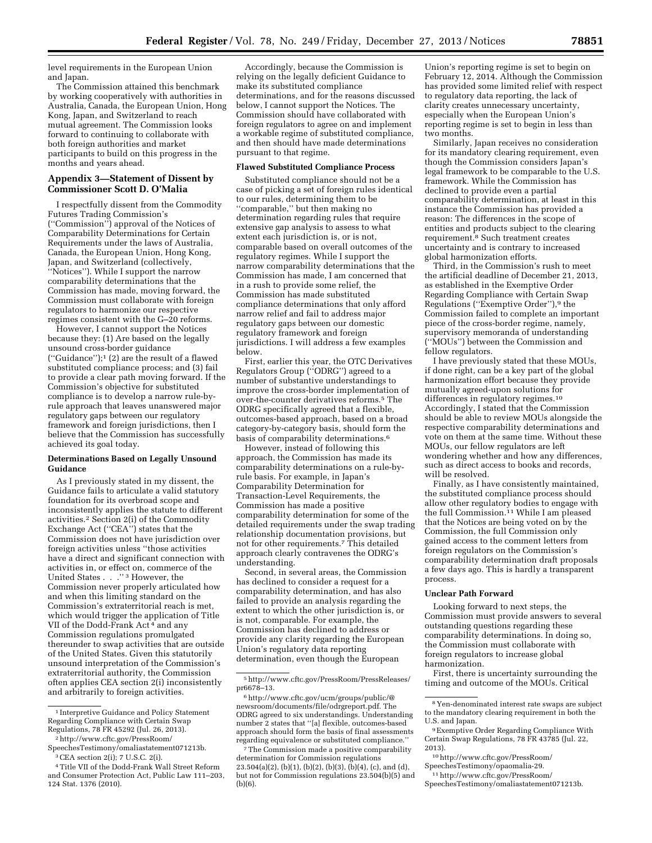level requirements in the European Union and Japan.

The Commission attained this benchmark by working cooperatively with authorities in Australia, Canada, the European Union, Hong Kong, Japan, and Switzerland to reach mutual agreement. The Commission looks forward to continuing to collaborate with both foreign authorities and market participants to build on this progress in the months and years ahead.

### **Appendix 3—Statement of Dissent by Commissioner Scott D. O'Malia**

I respectfully dissent from the Commodity Futures Trading Commission's (''Commission'') approval of the Notices of Comparability Determinations for Certain Requirements under the laws of Australia, Canada, the European Union, Hong Kong, Japan, and Switzerland (collectively, ''Notices''). While I support the narrow comparability determinations that the Commission has made, moving forward, the Commission must collaborate with foreign regulators to harmonize our respective regimes consistent with the G–20 reforms.

However, I cannot support the Notices because they: (1) Are based on the legally unsound cross-border guidance (''Guidance'');1 (2) are the result of a flawed substituted compliance process; and (3) fail to provide a clear path moving forward. If the Commission's objective for substituted compliance is to develop a narrow rule-byrule approach that leaves unanswered major regulatory gaps between our regulatory framework and foreign jurisdictions, then I believe that the Commission has successfully achieved its goal today.

### **Determinations Based on Legally Unsound Guidance**

As I previously stated in my dissent, the Guidance fails to articulate a valid statutory foundation for its overbroad scope and inconsistently applies the statute to different activities.2 Section 2(i) of the Commodity Exchange Act (''CEA'') states that the Commission does not have jurisdiction over foreign activities unless ''those activities have a direct and significant connection with activities in, or effect on, commerce of the United States . . .'' 3 However, the Commission never properly articulated how and when this limiting standard on the Commission's extraterritorial reach is met, which would trigger the application of Title VII of the Dodd-Frank Act 4 and any Commission regulations promulgated thereunder to swap activities that are outside of the United States. Given this statutorily unsound interpretation of the Commission's extraterritorial authority, the Commission often applies CEA section 2(i) inconsistently and arbitrarily to foreign activities.

Accordingly, because the Commission is relying on the legally deficient Guidance to make its substituted compliance determinations, and for the reasons discussed below, I cannot support the Notices. The Commission should have collaborated with foreign regulators to agree on and implement a workable regime of substituted compliance, and then should have made determinations pursuant to that regime.

#### **Flawed Substituted Compliance Process**

Substituted compliance should not be a case of picking a set of foreign rules identical to our rules, determining them to be ''comparable,'' but then making no determination regarding rules that require extensive gap analysis to assess to what extent each jurisdiction is, or is not, comparable based on overall outcomes of the regulatory regimes. While I support the narrow comparability determinations that the Commission has made, I am concerned that in a rush to provide some relief, the Commission has made substituted compliance determinations that only afford narrow relief and fail to address major regulatory gaps between our domestic regulatory framework and foreign jurisdictions. I will address a few examples below.

First, earlier this year, the OTC Derivatives Regulators Group (''ODRG'') agreed to a number of substantive understandings to improve the cross-border implementation of over-the-counter derivatives reforms.5 The ODRG specifically agreed that a flexible, outcomes-based approach, based on a broad category-by-category basis, should form the basis of comparability determinations.6

However, instead of following this approach, the Commission has made its comparability determinations on a rule-byrule basis. For example, in Japan's Comparability Determination for Transaction-Level Requirements, the Commission has made a positive comparability determination for some of the detailed requirements under the swap trading relationship documentation provisions, but not for other requirements.7 This detailed approach clearly contravenes the ODRG's understanding.

Second, in several areas, the Commission has declined to consider a request for a comparability determination, and has also failed to provide an analysis regarding the extent to which the other jurisdiction is, or is not, comparable. For example, the Commission has declined to address or provide any clarity regarding the European Union's regulatory data reporting determination, even though the European

Union's reporting regime is set to begin on February 12, 2014. Although the Commission has provided some limited relief with respect to regulatory data reporting, the lack of clarity creates unnecessary uncertainty, especially when the European Union's reporting regime is set to begin in less than two months.

Similarly, Japan receives no consideration for its mandatory clearing requirement, even though the Commission considers Japan's legal framework to be comparable to the U.S. framework. While the Commission has declined to provide even a partial comparability determination, at least in this instance the Commission has provided a reason: The differences in the scope of entities and products subject to the clearing requirement.8 Such treatment creates uncertainty and is contrary to increased global harmonization efforts.

Third, in the Commission's rush to meet the artificial deadline of December 21, 2013, as established in the Exemptive Order Regarding Compliance with Certain Swap Regulations (''Exemptive Order''),9 the Commission failed to complete an important piece of the cross-border regime, namely, supervisory memoranda of understanding (''MOUs'') between the Commission and fellow regulators.

I have previously stated that these MOUs, if done right, can be a key part of the global harmonization effort because they provide mutually agreed-upon solutions for differences in regulatory regimes.<sup>10</sup> Accordingly, I stated that the Commission should be able to review MOUs alongside the respective comparability determinations and vote on them at the same time. Without these MOUs, our fellow regulators are left wondering whether and how any differences, such as direct access to books and records, will be resolved.

Finally, as I have consistently maintained, the substituted compliance process should allow other regulatory bodies to engage with the full Commission.<sup>11</sup> While I am pleased that the Notices are being voted on by the Commission, the full Commission only gained access to the comment letters from foreign regulators on the Commission's comparability determination draft proposals a few days ago. This is hardly a transparent process.

### **Unclear Path Forward**

Looking forward to next steps, the Commission must provide answers to several outstanding questions regarding these comparability determinations. In doing so, the Commission must collaborate with foreign regulators to increase global harmonization.

First, there is uncertainty surrounding the timing and outcome of the MOUs. Critical

<sup>1</sup> Interpretive Guidance and Policy Statement Regarding Compliance with Certain Swap Regulations, 78 FR 45292 (Jul. 26, 2013).

<sup>2</sup>[http://www.cftc.gov/PressRoom/](http://www.cftc.gov/PressRoom/SpeechesTestimony/omaliastatement071213b) [SpeechesTestimony/omaliastatement071213b.](http://www.cftc.gov/PressRoom/SpeechesTestimony/omaliastatement071213b) 

<sup>3</sup>CEA section 2(i); 7 U.S.C. 2(i).

<sup>4</sup>Title VII of the Dodd-Frank Wall Street Reform and Consumer Protection Act, Public Law 111–203, 124 Stat. 1376 (2010).

<sup>5</sup>[http://www.cftc.gov/PressRoom/PressReleases/](http://www.cftc.gov/PressRoom/PressReleases/pr6678-13) [pr6678–13.](http://www.cftc.gov/PressRoom/PressReleases/pr6678-13)

[<sup>6</sup>http://www.cftc.gov/ucm/groups/public/@](http://www.cftc.gov/ucm/groups/public/@newsroom/documents/file/odrgreport.pdf) [newsroom/documents/file/odrgreport.pdf.](http://www.cftc.gov/ucm/groups/public/@newsroom/documents/file/odrgreport.pdf) The ODRG agreed to six understandings. Understanding number 2 states that ''[a] flexible, outcomes-based approach should form the basis of final assessments regarding equivalence or substituted compliance.

<sup>7</sup>The Commission made a positive comparability determination for Commission regulations  $23.504(a)(2)$ , (b)(1), (b)(2), (b)(3), (b)(4), (c), and (d), but not for Commission regulations 23.504(b)(5) and (b)(6).

<sup>8</sup> Yen-denominated interest rate swaps are subject to the mandatory clearing requirement in both the U.S. and Japan.

<sup>9</sup>Exemptive Order Regarding Compliance With Certain Swap Regulations, 78 FR 43785 (Jul. 22, 2013).

<sup>10</sup>[http://www.cftc.gov/PressRoom/](http://www.cftc.gov/PressRoom/SpeechesTestimony/opaomalia-29)

[SpeechesTestimony/opaomalia-29.](http://www.cftc.gov/PressRoom/SpeechesTestimony/opaomalia-29)

<sup>11</sup>[http://www.cftc.gov/PressRoom/](http://www.cftc.gov/PressRoom/SpeechesTestimony/omaliastatement071213b) [SpeechesTestimony/omaliastatement071213b.](http://www.cftc.gov/PressRoom/SpeechesTestimony/omaliastatement071213b)